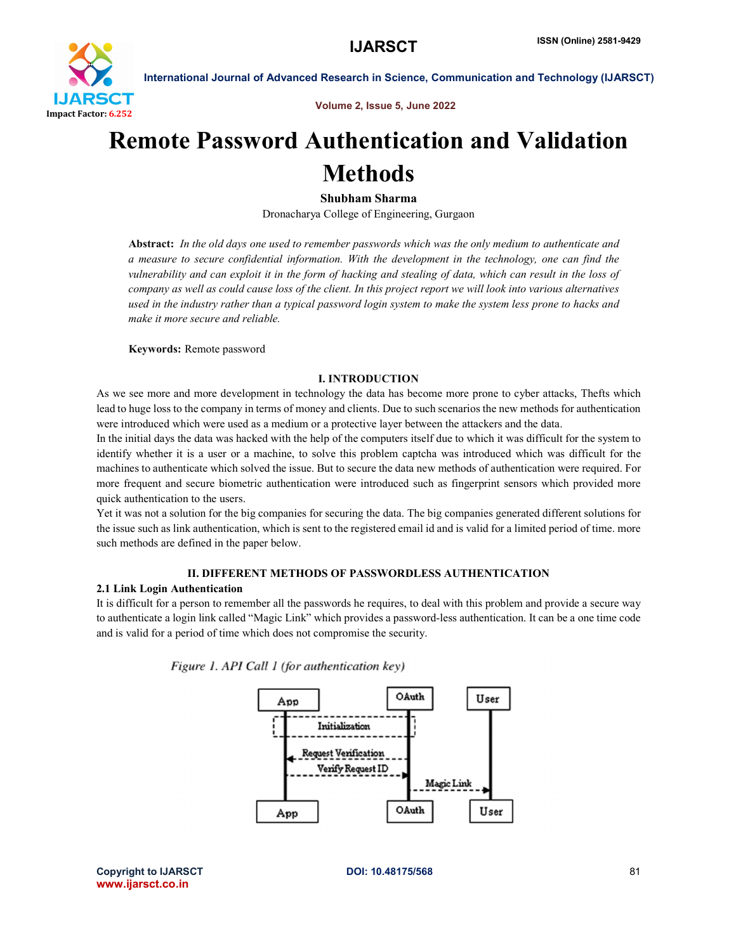

International Journal of Advanced Research in Science, Communication and Technology (IJARSCT)

Volume 2, Issue 5, June 2022

# Remote Password Authentication and Validation Methods

# Shubham Sharma

Dronacharya College of Engineering, Gurgaon

Abstract: *In the old days one used to remember passwords which was the only medium to authenticate and a measure to secure confidential information. With the development in the technology, one can find the vulnerability and can exploit it in the form of hacking and stealing of data, which can result in the loss of company as well as could cause loss of the client. In this project report we will look into various alternatives used in the industry rather than a typical password login system to make the system less prone to hacks and make it more secure and reliable.*

Keywords: Remote password

# I. INTRODUCTION

As we see more and more development in technology the data has become more prone to cyber attacks, Thefts which lead to huge loss to the company in terms of money and clients. Due to such scenarios the new methods for authentication were introduced which were used as a medium or a protective layer between the attackers and the data.

In the initial days the data was hacked with the help of the computers itself due to which it was difficult for the system to identify whether it is a user or a machine, to solve this problem captcha was introduced which was difficult for the machines to authenticate which solved the issue. But to secure the data new methods of authentication were required. For more frequent and secure biometric authentication were introduced such as fingerprint sensors which provided more quick authentication to the users.

Yet it was not a solution for the big companies for securing the data. The big companies generated different solutions for the issue such as link authentication, which is sent to the registered email id and is valid for a limited period of time. more such methods are defined in the paper below.

# II. DIFFERENT METHODS OF PASSWORDLESS AUTHENTICATION

### 2.1 Link Login Authentication

It is difficult for a person to remember all the passwords he requires, to deal with this problem and provide a secure way to authenticate a login link called "Magic Link" which provides a password-less authentication. It can be a one time code and is valid for a period of time which does not compromise the security.



Figure 1. API Call 1 (for authentication key)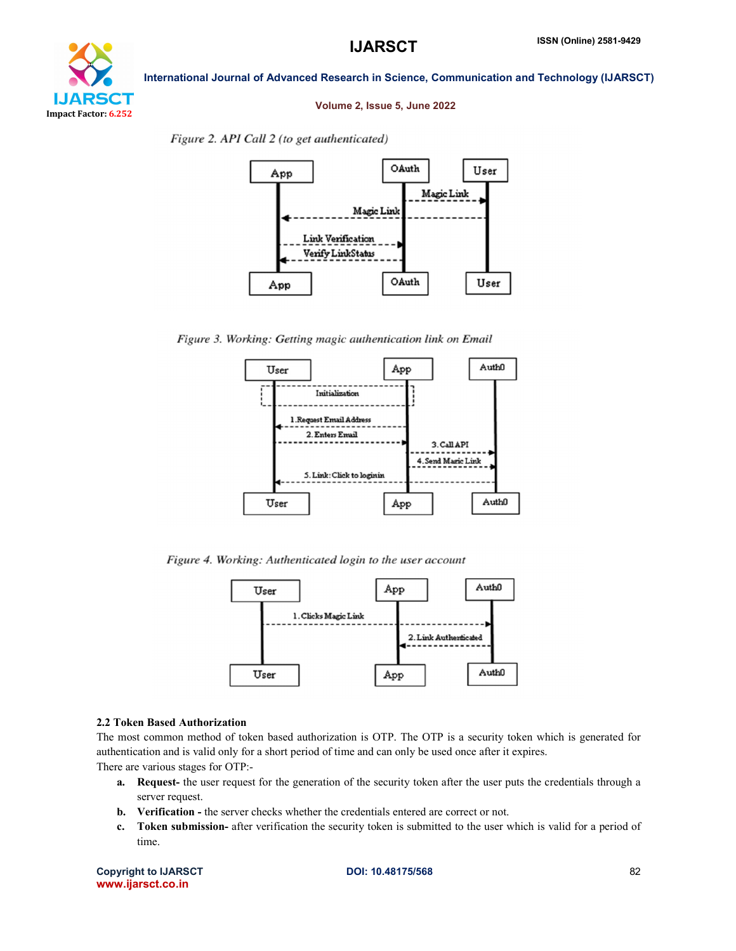

### International Journal of Advanced Research in Science, Communication and Technology (IJARSCT)

#### Volume 2, Issue 5, June 2022

Figure 2. API Call 2 (to get authenticated)



Figure 3. Working: Getting magic authentication link on Email



Figure 4. Working: Authenticated login to the user account



#### 2.2 Token Based Authorization

The most common method of token based authorization is OTP. The OTP is a security token which is generated for authentication and is valid only for a short period of time and can only be used once after it expires.

There are various stages for OTP:-

- a. Request- the user request for the generation of the security token after the user puts the credentials through a server request.
- b. Verification the server checks whether the credentials entered are correct or not.
- c. Token submission- after verification the security token is submitted to the user which is valid for a period of time.

Copyright to IJARSCT **DOI: 10.48175/568** 82 www.ijarsct.co.in